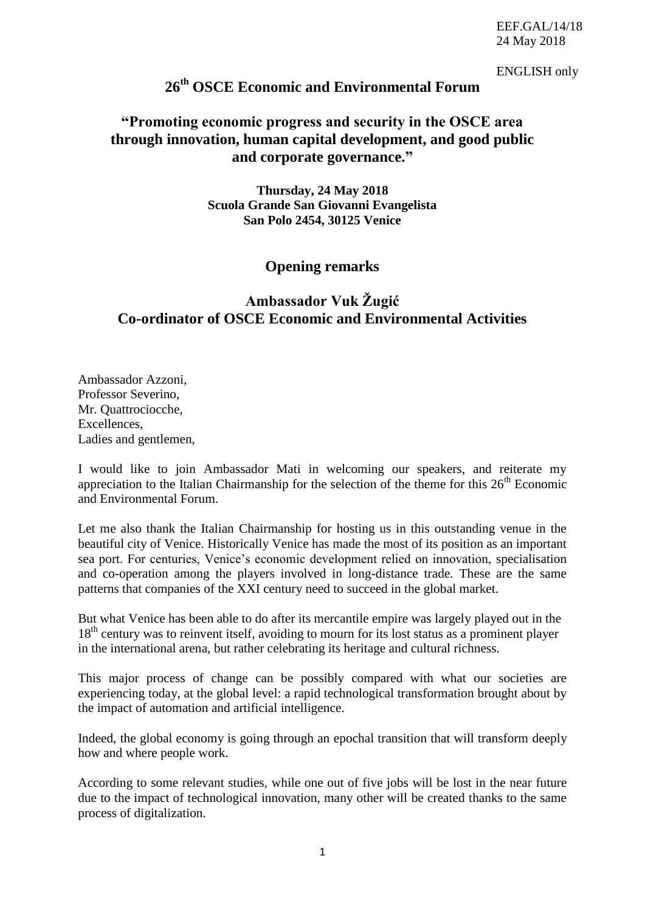EEF.GAL/14/18 24 May 2018

ENGLISH only

## **26th OSCE Economic and Environmental Forum**

## **"Promoting economic progress and security in the OSCE area through innovation, human capital development, and good public and corporate governance."**

**Thursday, 24 May 2018 Scuola Grande San Giovanni Evangelista San Polo 2454, 30125 Venice**

## **Opening remarks**

## **Ambassador Vuk Žugić Co-ordinator of OSCE Economic and Environmental Activities**

Ambassador Azzoni, Professor Severino, Mr. Quattrociocche, Excellences, Ladies and gentlemen,

I would like to join Ambassador Mati in welcoming our speakers, and reiterate my appreciation to the Italian Chairmanship for the selection of the theme for this  $26<sup>th</sup>$  Economic and Environmental Forum.

Let me also thank the Italian Chairmanship for hosting us in this outstanding venue in the beautiful city of Venice. Historically Venice has made the most of its position as an important sea port. For centuries, Venice's economic development relied on innovation, specialisation and co-operation among the players involved in long-distance trade. These are the same patterns that companies of the XXI century need to succeed in the global market.

But what Venice has been able to do after its mercantile empire was largely played out in the 18<sup>th</sup> century was to reinvent itself, avoiding to mourn for its lost status as a prominent player in the international arena, but rather celebrating its heritage and cultural richness.

This major process of change can be possibly compared with what our societies are experiencing today, at the global level: a rapid technological transformation brought about by the impact of automation and artificial intelligence.

Indeed, the global economy is going through an epochal transition that will transform deeply how and where people work.

According to some relevant studies, while one out of five jobs will be lost in the near future due to the impact of technological innovation, many other will be created thanks to the same process of digitalization.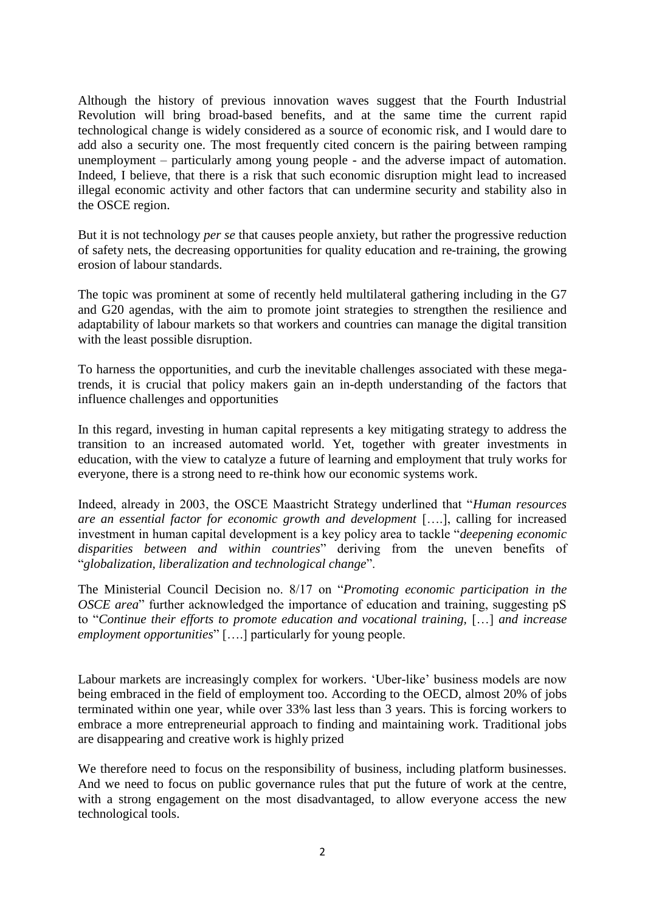Although the history of previous innovation waves suggest that the Fourth Industrial Revolution will bring broad-based benefits, and at the same time the current rapid technological change is widely considered as a source of economic risk, and I would dare to add also a security one. The most frequently cited concern is the pairing between ramping unemployment – particularly among young people - and the adverse impact of automation. Indeed, I believe, that there is a risk that such economic disruption might lead to increased illegal economic activity and other factors that can undermine security and stability also in the OSCE region.

But it is not technology *per se* that causes people anxiety, but rather the progressive reduction of safety nets, the decreasing opportunities for quality education and re-training, the growing erosion of labour standards.

The topic was prominent at some of recently held multilateral gathering including in the G7 and G20 agendas, with the aim to promote joint strategies to strengthen the resilience and adaptability of labour markets so that workers and countries can manage the digital transition with the least possible disruption.

To harness the opportunities, and curb the inevitable challenges associated with these megatrends, it is crucial that policy makers gain an in-depth understanding of the factors that influence challenges and opportunities

In this regard, investing in human capital represents a key mitigating strategy to address the transition to an increased automated world. Yet, together with greater investments in education, with the view to catalyze a future of learning and employment that truly works for everyone, there is a strong need to re-think how our economic systems work.

Indeed, already in 2003, the OSCE Maastricht Strategy underlined that "*Human resources are an essential factor for economic growth and development* [….], calling for increased investment in human capital development is a key policy area to tackle "*deepening economic disparities between and within countries*" deriving from the uneven benefits of "*globalization, liberalization and technological change*".

The Ministerial Council Decision no. 8/17 on "*Promoting economic participation in the OSCE area*" further acknowledged the importance of education and training, suggesting pS to "*Continue their efforts to promote education and vocational training,* […] *and increase employment opportunities*" [….] particularly for young people.

Labour markets are increasingly complex for workers. 'Uber-like' business models are now being embraced in the field of employment too. According to the OECD, almost 20% of jobs terminated within one year, while over 33% last less than 3 years. This is forcing workers to embrace a more entrepreneurial approach to finding and maintaining work. Traditional jobs are disappearing and creative work is highly prized

We therefore need to focus on the responsibility of business, including platform businesses. And we need to focus on public governance rules that put the future of work at the centre, with a strong engagement on the most disadvantaged, to allow everyone access the new technological tools.